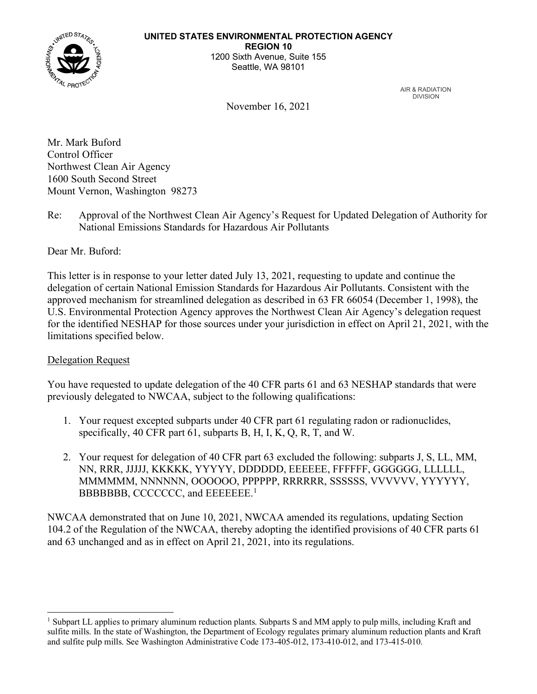

AIR & RADIATION DIVISION

November 16, 2021

Mr. Mark Buford Control Officer Northwest Clean Air Agency 1600 South Second Street Mount Vernon, Washington 98273

Re: Approval of the Northwest Clean Air Agency's Request for Updated Delegation of Authority for National Emissions Standards for Hazardous Air Pollutants

Dear Mr. Buford:

This letter is in response to your letter dated July 13, 2021, requesting to update and continue the delegation of certain National Emission Standards for Hazardous Air Pollutants. Consistent with the approved mechanism for streamlined delegation as described in 63 FR 66054 (December 1, 1998), the U.S. Environmental Protection Agency approves the Northwest Clean Air Agency's delegation request for the identified NESHAP for those sources under your jurisdiction in effect on April 21, 2021, with the limitations specified below.

## Delegation Request

You have requested to update delegation of the 40 CFR parts 61 and 63 NESHAP standards that were previously delegated to NWCAA, subject to the following qualifications:

- 1. Your request excepted subparts under 40 CFR part 61 regulating radon or radionuclides, specifically, 40 CFR part 61, subparts B, H, I, K, Q, R, T, and W.
- 2. Your request for delegation of 40 CFR part 63 excluded the following: subparts J, S, LL, MM, NN, RRR, JJJJJ, KKKKK, YYYYY, DDDDDD, EEEEEE, FFFFFF, GGGGGG, LLLLLL, MMMMMM, NNNNNN, OOOOOO, PPPPPP, RRRRRR, SSSSSS, VVVVVV, YYYYYY, BBBBBBBB, CCCCCCC, and EEEEEEE.<sup>[1](#page-0-0)</sup>

NWCAA demonstrated that on June 10, 2021, NWCAA amended its regulations, updating Section 104.2 of the Regulation of the NWCAA, thereby adopting the identified provisions of 40 CFR parts 61 and 63 unchanged and as in effect on April 21, 2021, into its regulations.

<span id="page-0-0"></span><sup>1</sup> Subpart LL applies to primary aluminum reduction plants. Subparts S and MM apply to pulp mills, including Kraft and sulfite mills. In the state of Washington, the Department of Ecology regulates primary aluminum reduction plants and Kraft and sulfite pulp mills. See Washington Administrative Code 173-405-012, 173-410-012, and 173-415-010.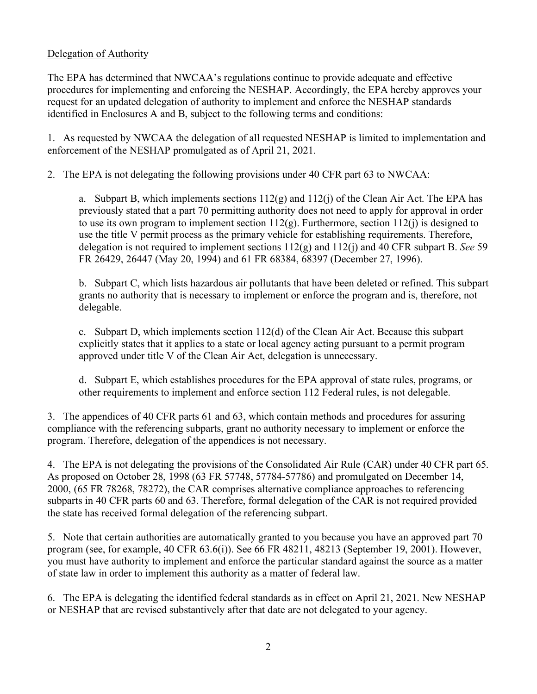## Delegation of Authority

The EPA has determined that NWCAA's regulations continue to provide adequate and effective procedures for implementing and enforcing the NESHAP. Accordingly, the EPA hereby approves your request for an updated delegation of authority to implement and enforce the NESHAP standards identified in Enclosures A and B, subject to the following terms and conditions:

1. As requested by NWCAA the delegation of all requested NESHAP is limited to implementation and enforcement of the NESHAP promulgated as of April 21, 2021.

2. The EPA is not delegating the following provisions under 40 CFR part 63 to NWCAA:

a. Subpart B, which implements sections  $112(g)$  and  $112(j)$  of the Clean Air Act. The EPA has previously stated that a part 70 permitting authority does not need to apply for approval in order to use its own program to implement section  $112(g)$ . Furthermore, section  $112(i)$  is designed to use the title V permit process as the primary vehicle for establishing requirements. Therefore, delegation is not required to implement sections 112(g) and 112(j) and 40 CFR subpart B. *See* 59 FR 26429, 26447 (May 20, 1994) and 61 FR 68384, 68397 (December 27, 1996).

b. Subpart C, which lists hazardous air pollutants that have been deleted or refined. This subpart grants no authority that is necessary to implement or enforce the program and is, therefore, not delegable.

c. Subpart D, which implements section 112(d) of the Clean Air Act. Because this subpart explicitly states that it applies to a state or local agency acting pursuant to a permit program approved under title V of the Clean Air Act, delegation is unnecessary.

d. Subpart E, which establishes procedures for the EPA approval of state rules, programs, or other requirements to implement and enforce section 112 Federal rules, is not delegable.

3. The appendices of 40 CFR parts 61 and 63, which contain methods and procedures for assuring compliance with the referencing subparts, grant no authority necessary to implement or enforce the program. Therefore, delegation of the appendices is not necessary.

4. The EPA is not delegating the provisions of the Consolidated Air Rule (CAR) under 40 CFR part 65. As proposed on October 28, 1998 (63 FR 57748, 57784-57786) and promulgated on December 14, 2000, (65 FR 78268, 78272), the CAR comprises alternative compliance approaches to referencing subparts in 40 CFR parts 60 and 63. Therefore, formal delegation of the CAR is not required provided the state has received formal delegation of the referencing subpart.

5. Note that certain authorities are automatically granted to you because you have an approved part 70 program (see, for example, 40 CFR 63.6(i)). See 66 FR 48211, 48213 (September 19, 2001). However, you must have authority to implement and enforce the particular standard against the source as a matter of state law in order to implement this authority as a matter of federal law.

6. The EPA is delegating the identified federal standards as in effect on April 21, 2021. New NESHAP or NESHAP that are revised substantively after that date are not delegated to your agency.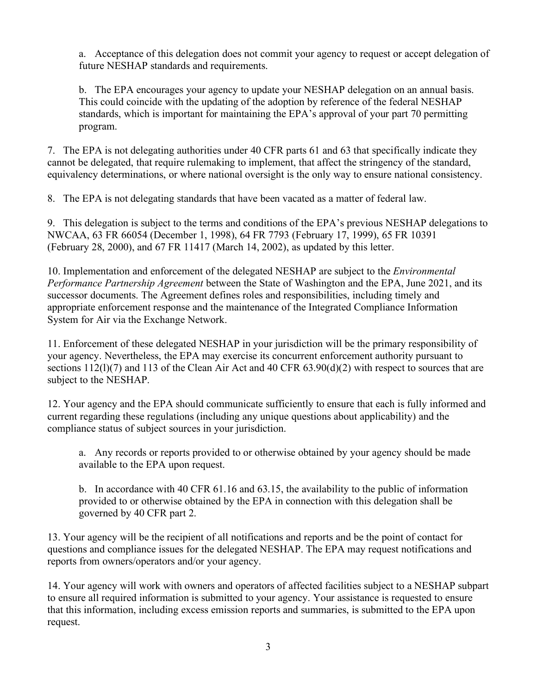a. Acceptance of this delegation does not commit your agency to request or accept delegation of future NESHAP standards and requirements.

b. The EPA encourages your agency to update your NESHAP delegation on an annual basis. This could coincide with the updating of the adoption by reference of the federal NESHAP standards, which is important for maintaining the EPA's approval of your part 70 permitting program.

7. The EPA is not delegating authorities under 40 CFR parts 61 and 63 that specifically indicate they cannot be delegated, that require rulemaking to implement, that affect the stringency of the standard, equivalency determinations, or where national oversight is the only way to ensure national consistency.

8. The EPA is not delegating standards that have been vacated as a matter of federal law.

9. This delegation is subject to the terms and conditions of the EPA's previous NESHAP delegations to NWCAA, 63 FR 66054 (December 1, 1998), 64 FR 7793 (February 17, 1999), 65 FR 10391 (February 28, 2000), and 67 FR 11417 (March 14, 2002), as updated by this letter.

10. Implementation and enforcement of the delegated NESHAP are subject to the *Environmental Performance Partnership Agreement* between the State of Washington and the EPA, June 2021, and its successor documents. The Agreement defines roles and responsibilities, including timely and appropriate enforcement response and the maintenance of the Integrated Compliance Information System for Air via the Exchange Network.

11. Enforcement of these delegated NESHAP in your jurisdiction will be the primary responsibility of your agency. Nevertheless, the EPA may exercise its concurrent enforcement authority pursuant to sections 112(1)(7) and 113 of the Clean Air Act and 40 CFR 63.90(d)(2) with respect to sources that are subject to the NESHAP.

12. Your agency and the EPA should communicate sufficiently to ensure that each is fully informed and current regarding these regulations (including any unique questions about applicability) and the compliance status of subject sources in your jurisdiction.

a. Any records or reports provided to or otherwise obtained by your agency should be made available to the EPA upon request.

b. In accordance with 40 CFR 61.16 and 63.15, the availability to the public of information provided to or otherwise obtained by the EPA in connection with this delegation shall be governed by 40 CFR part 2.

13. Your agency will be the recipient of all notifications and reports and be the point of contact for questions and compliance issues for the delegated NESHAP. The EPA may request notifications and reports from owners/operators and/or your agency.

14. Your agency will work with owners and operators of affected facilities subject to a NESHAP subpart to ensure all required information is submitted to your agency. Your assistance is requested to ensure that this information, including excess emission reports and summaries, is submitted to the EPA upon request.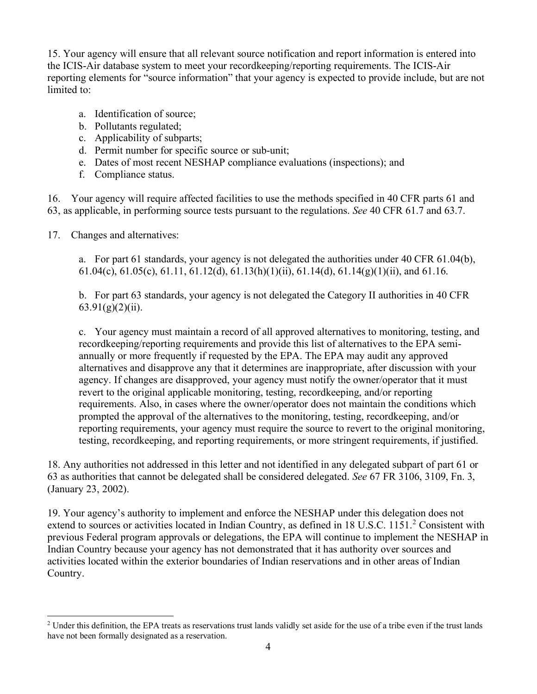15. Your agency will ensure that all relevant source notification and report information is entered into the ICIS-Air database system to meet your recordkeeping/reporting requirements. The ICIS-Air reporting elements for "source information" that your agency is expected to provide include, but are not limited to:

- a. Identification of source;
- b. Pollutants regulated;
- c. Applicability of subparts;
- d. Permit number for specific source or sub-unit;
- e. Dates of most recent NESHAP compliance evaluations (inspections); and
- f. Compliance status.

16. Your agency will require affected facilities to use the methods specified in 40 CFR parts 61 and 63, as applicable, in performing source tests pursuant to the regulations. *See* 40 CFR 61.7 and 63.7.

17. Changes and alternatives:

a. For part 61 standards, your agency is not delegated the authorities under 40 CFR  $61.04(b)$ , 61.04(c), 61.05(c), 61.11, 61.12(d), 61.13(h)(1)(ii), 61.14(d), 61.14(g)(1)(ii), and 61.16.

b. For part 63 standards, your agency is not delegated the Category II authorities in 40 CFR  $63.91(g)(2)(ii)$ .

c. Your agency must maintain a record of all approved alternatives to monitoring, testing, and recordkeeping/reporting requirements and provide this list of alternatives to the EPA semiannually or more frequently if requested by the EPA. The EPA may audit any approved alternatives and disapprove any that it determines are inappropriate, after discussion with your agency. If changes are disapproved, your agency must notify the owner/operator that it must revert to the original applicable monitoring, testing, recordkeeping, and/or reporting requirements. Also, in cases where the owner/operator does not maintain the conditions which prompted the approval of the alternatives to the monitoring, testing, recordkeeping, and/or reporting requirements, your agency must require the source to revert to the original monitoring, testing, recordkeeping, and reporting requirements, or more stringent requirements, if justified.

18. Any authorities not addressed in this letter and not identified in any delegated subpart of part 61 or 63 as authorities that cannot be delegated shall be considered delegated. *See* 67 FR 3106, 3109, Fn. 3, (January 23, 2002).

19. Your agency's authority to implement and enforce the NESHAP under this delegation does not extend to sources or activities located in Indian Country, as defined in 18 U.S.C. 1151.<sup>[2](#page-3-0)</sup> Consistent with previous Federal program approvals or delegations, the EPA will continue to implement the NESHAP in Indian Country because your agency has not demonstrated that it has authority over sources and activities located within the exterior boundaries of Indian reservations and in other areas of Indian Country.

<span id="page-3-0"></span><sup>&</sup>lt;sup>2</sup> Under this definition, the EPA treats as reservations trust lands validly set aside for the use of a tribe even if the trust lands have not been formally designated as a reservation.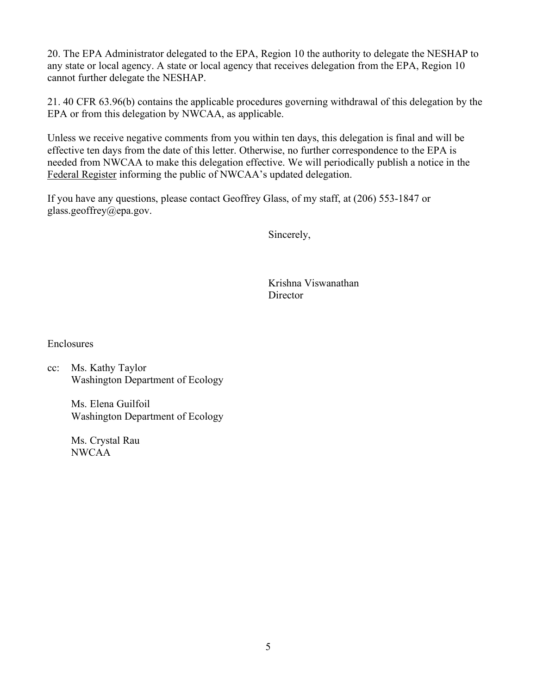20. The EPA Administrator delegated to the EPA, Region 10 the authority to delegate the NESHAP to any state or local agency. A state or local agency that receives delegation from the EPA, Region 10 cannot further delegate the NESHAP.

21. 40 CFR 63.96(b) contains the applicable procedures governing withdrawal of this delegation by the EPA or from this delegation by NWCAA, as applicable.

Unless we receive negative comments from you within ten days, this delegation is final and will be effective ten days from the date of this letter. Otherwise, no further correspondence to the EPA is needed from NWCAA to make this delegation effective. We will periodically publish a notice in the Federal Register informing the public of NWCAA's updated delegation.

If you have any questions, please contact Geoffrey Glass, of my staff, at (206) 553-1847 or glass.geoffrey@epa.gov.

Sincerely,

Krishna Viswanathan **Director** 

Enclosures

cc: Ms. Kathy Taylor Washington Department of Ecology

> Ms. Elena Guilfoil Washington Department of Ecology

Ms. Crystal Rau NWCAA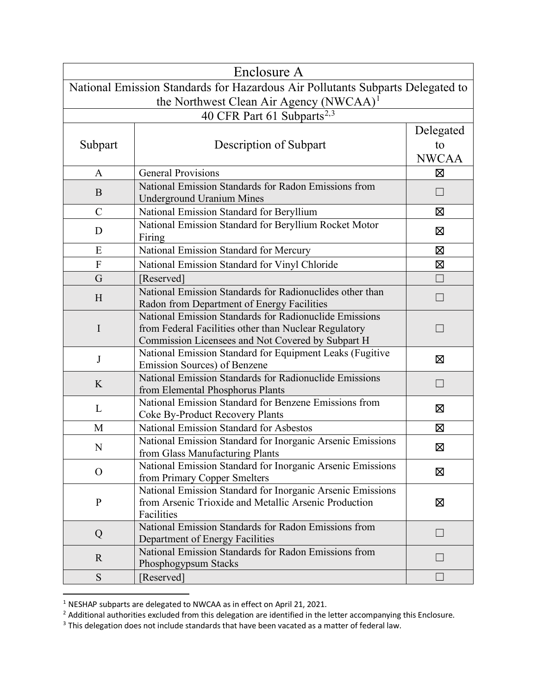|               | Enclosure A                                                                                                         |              |
|---------------|---------------------------------------------------------------------------------------------------------------------|--------------|
|               | National Emission Standards for Hazardous Air Pollutants Subparts Delegated to                                      |              |
|               | the Northwest Clean Air Agency (NWCAA) <sup>1</sup>                                                                 |              |
|               | 40 CFR Part 61 Subparts <sup>2,3</sup>                                                                              |              |
|               |                                                                                                                     | Delegated    |
| Subpart       | Description of Subpart                                                                                              | to           |
|               |                                                                                                                     | <b>NWCAA</b> |
| A             | <b>General Provisions</b>                                                                                           | Σ            |
|               | National Emission Standards for Radon Emissions from                                                                |              |
| B             | <b>Underground Uranium Mines</b>                                                                                    |              |
| $\mathcal{C}$ | National Emission Standard for Beryllium                                                                            | $\boxtimes$  |
| D             | National Emission Standard for Beryllium Rocket Motor<br>Firing                                                     | 区            |
| E             | National Emission Standard for Mercury                                                                              | ⊠            |
| $\mathbf{F}$  | National Emission Standard for Vinyl Chloride                                                                       | 区            |
| G             | [Reserved]                                                                                                          |              |
| H             | National Emission Standards for Radionuclides other than                                                            |              |
|               | Radon from Department of Energy Facilities<br>National Emission Standards for Radionuclide Emissions                |              |
| $\mathbf I$   | from Federal Facilities other than Nuclear Regulatory                                                               |              |
|               | Commission Licensees and Not Covered by Subpart H                                                                   |              |
| J             | National Emission Standard for Equipment Leaks (Fugitive                                                            | Σ            |
|               | Emission Sources) of Benzene                                                                                        |              |
| K             | National Emission Standards for Radionuclide Emissions<br>from Elemental Phosphorus Plants                          | $\Box$       |
|               | National Emission Standard for Benzene Emissions from                                                               |              |
| L             | Coke By-Product Recovery Plants                                                                                     | 区            |
| M             | <b>National Emission Standard for Asbestos</b>                                                                      | 区            |
| N             | National Emission Standard for Inorganic Arsenic Emissions                                                          | ⊠            |
|               | from Glass Manufacturing Plants                                                                                     |              |
| $\mathcal{O}$ | National Emission Standard for Inorganic Arsenic Emissions                                                          | ⊠            |
|               | from Primary Copper Smelters                                                                                        |              |
| $\mathbf P$   | National Emission Standard for Inorganic Arsenic Emissions<br>from Arsenic Trioxide and Metallic Arsenic Production | 区            |
|               | Facilities                                                                                                          |              |
| Q             | National Emission Standards for Radon Emissions from                                                                |              |
|               | Department of Energy Facilities                                                                                     | П            |
| $\mathbf{R}$  | National Emission Standards for Radon Emissions from                                                                |              |
|               | Phosphogypsum Stacks                                                                                                |              |
| ${\mathbf S}$ | [Reserved]                                                                                                          |              |

<span id="page-5-0"></span> $1$  NESHAP subparts are delegated to NWCAA as in effect on April 21, 2021.

<span id="page-5-1"></span> $^2$  Additional authorities excluded from this delegation are identified in the letter accompanying this Enclosure.

<span id="page-5-2"></span> $3$  This delegation does not include standards that have been vacated as a matter of federal law.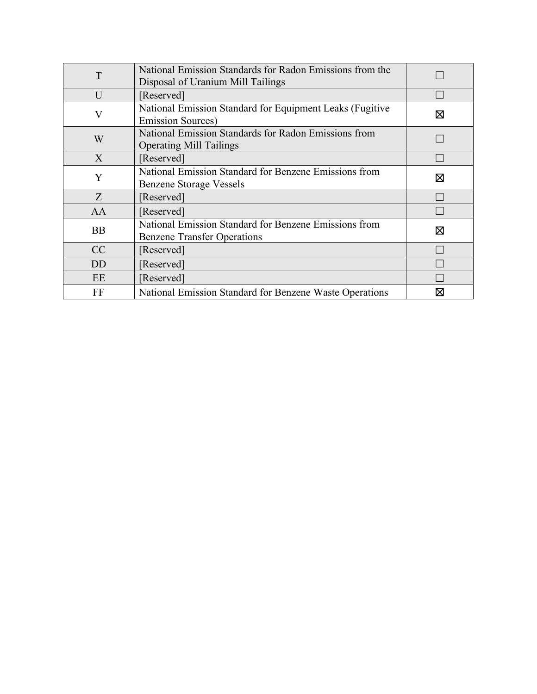| T              | National Emission Standards for Radon Emissions from the |   |
|----------------|----------------------------------------------------------|---|
|                | Disposal of Uranium Mill Tailings                        |   |
| U              | [Reserved]                                               |   |
| $\rm V$        | National Emission Standard for Equipment Leaks (Fugitive | ⊠ |
|                | <b>Emission Sources</b> )                                |   |
|                | National Emission Standards for Radon Emissions from     |   |
| W              | <b>Operating Mill Tailings</b>                           |   |
| X              | [Reserved]                                               |   |
| Y              | National Emission Standard for Benzene Emissions from    | ⊠ |
|                | Benzene Storage Vessels                                  |   |
| Z              | [Reserved]                                               |   |
| AA             | [Reserved]                                               |   |
| <b>BB</b>      | National Emission Standard for Benzene Emissions from    | ⊠ |
|                | <b>Benzene Transfer Operations</b>                       |   |
| CC             | [Reserved]                                               |   |
| D <sub>D</sub> | [Reserved]                                               |   |
| EE             | [Reserved]                                               |   |
| FF             | National Emission Standard for Benzene Waste Operations  | ⋈ |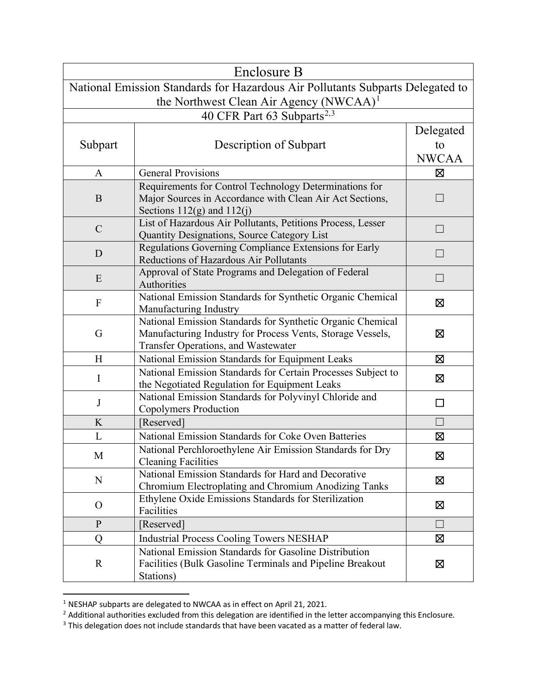|              | Enclosure B                                                                            |              |  |
|--------------|----------------------------------------------------------------------------------------|--------------|--|
|              | National Emission Standards for Hazardous Air Pollutants Subparts Delegated to         |              |  |
|              | the Northwest Clean Air Agency (NWCAA) <sup>1</sup>                                    |              |  |
|              | 40 CFR Part 63 Subparts <sup>2,3</sup>                                                 |              |  |
|              |                                                                                        | Delegated    |  |
| Subpart      | Description of Subpart                                                                 | to           |  |
|              |                                                                                        | <b>NWCAA</b> |  |
| $\mathbf{A}$ | <b>General Provisions</b>                                                              | X            |  |
|              | Requirements for Control Technology Determinations for                                 |              |  |
| B            | Major Sources in Accordance with Clean Air Act Sections,                               |              |  |
|              | Sections $112(g)$ and $112(j)$                                                         |              |  |
| $\mathbf C$  | List of Hazardous Air Pollutants, Petitions Process, Lesser                            | $\Box$       |  |
|              | Quantity Designations, Source Category List                                            |              |  |
| D            | Regulations Governing Compliance Extensions for Early                                  |              |  |
|              | Reductions of Hazardous Air Pollutants                                                 |              |  |
| E            | Approval of State Programs and Delegation of Federal                                   |              |  |
|              | Authorities                                                                            |              |  |
| $\mathbf{F}$ | National Emission Standards for Synthetic Organic Chemical                             | ⊠            |  |
|              | Manufacturing Industry                                                                 |              |  |
|              | National Emission Standards for Synthetic Organic Chemical                             |              |  |
| G            | Manufacturing Industry for Process Vents, Storage Vessels,                             | X            |  |
|              | Transfer Operations, and Wastewater                                                    |              |  |
| H            | National Emission Standards for Equipment Leaks                                        | ⊠            |  |
| $\bf{I}$     | National Emission Standards for Certain Processes Subject to                           | ⊠            |  |
|              | the Negotiated Regulation for Equipment Leaks                                          |              |  |
| J            | National Emission Standards for Polyvinyl Chloride and<br><b>Copolymers Production</b> |              |  |
| K            | [Reserved]                                                                             |              |  |
| L            | National Emission Standards for Coke Oven Batteries                                    | $\boxtimes$  |  |
|              | National Perchloroethylene Air Emission Standards for Dry                              |              |  |
| M            | <b>Cleaning Facilities</b>                                                             | ⊠            |  |
|              | National Emission Standards for Hard and Decorative                                    |              |  |
| N            | Chromium Electroplating and Chromium Anodizing Tanks                                   | 区            |  |
|              | Ethylene Oxide Emissions Standards for Sterilization                                   |              |  |
| $\Omega$     | Facilities                                                                             | 区            |  |
| $\mathbf{P}$ | [Reserved]                                                                             | $\Box$       |  |
| Q            | <b>Industrial Process Cooling Towers NESHAP</b>                                        | ⊠            |  |
|              | National Emission Standards for Gasoline Distribution                                  |              |  |
| $\mathbb{R}$ | Facilities (Bulk Gasoline Terminals and Pipeline Breakout                              | $\boxtimes$  |  |
|              | Stations)                                                                              |              |  |

<span id="page-7-0"></span> $1$  NESHAP subparts are delegated to NWCAA as in effect on April 21, 2021.

<span id="page-7-1"></span> $^2$  Additional authorities excluded from this delegation are identified in the letter accompanying this Enclosure.

<span id="page-7-2"></span> $3$  This delegation does not include standards that have been vacated as a matter of federal law.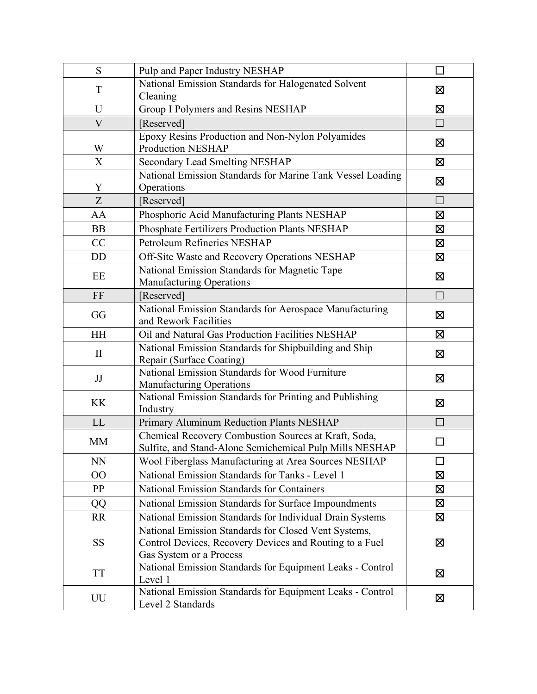| S            | Pulp and Paper Industry NESHAP                                                                                  | П                 |
|--------------|-----------------------------------------------------------------------------------------------------------------|-------------------|
| T            | National Emission Standards for Halogenated Solvent                                                             | Σ                 |
|              | Cleaning                                                                                                        |                   |
| U            | Group I Polymers and Resins NESHAP                                                                              | Σ                 |
| $\mathbf V$  | [Reserved]                                                                                                      | $\Box$            |
| W            | Epoxy Resins Production and Non-Nylon Polyamides<br><b>Production NESHAP</b>                                    | Ø                 |
| X            | Secondary Lead Smelting NESHAP                                                                                  | $\boxtimes$       |
|              | National Emission Standards for Marine Tank Vessel Loading                                                      |                   |
| Y            | Operations                                                                                                      | Ø                 |
| Z            | [Reserved]                                                                                                      | $\Box$            |
| AA           | Phosphoric Acid Manufacturing Plants NESHAP                                                                     | Ø                 |
| <b>BB</b>    | Phosphate Fertilizers Production Plants NESHAP                                                                  | Ø                 |
| CC           | Petroleum Refineries NESHAP                                                                                     | Σ                 |
| <b>DD</b>    | Off-Site Waste and Recovery Operations NESHAP                                                                   | Σ                 |
|              | National Emission Standards for Magnetic Tape                                                                   |                   |
| EE           | Manufacturing Operations                                                                                        | Ø                 |
| FF           | [Reserved]                                                                                                      | $\vert \ \ \vert$ |
| GG           | National Emission Standards for Aerospace Manufacturing<br>and Rework Facilities                                | 区                 |
| <b>HH</b>    | Oil and Natural Gas Production Facilities NESHAP                                                                | X                 |
| $\mathbf{I}$ | National Emission Standards for Shipbuilding and Ship<br>Repair (Surface Coating)                               | 区                 |
| JJ           | National Emission Standards for Wood Furniture<br><b>Manufacturing Operations</b>                               | ⊠                 |
| <b>KK</b>    | National Emission Standards for Printing and Publishing<br>Industry                                             | ⊠                 |
| LL           | Primary Aluminum Reduction Plants NESHAP                                                                        | П                 |
| <b>MM</b>    | Chemical Recovery Combustion Sources at Kraft, Soda,<br>Sulfite, and Stand-Alone Semichemical Pulp Mills NESHAP |                   |
| <b>NN</b>    | Wool Fiberglass Manufacturing at Area Sources NESHAP                                                            | $\Box$            |
| $00\,$       | National Emission Standards for Tanks - Level 1                                                                 | 区                 |
| PP           | <b>National Emission Standards for Containers</b>                                                               | ⊠                 |
| QQ           | National Emission Standards for Surface Impoundments                                                            | $\boxtimes$       |
| <b>RR</b>    | National Emission Standards for Individual Drain Systems                                                        | 区                 |
|              | National Emission Standards for Closed Vent Systems,                                                            |                   |
| <b>SS</b>    | Control Devices, Recovery Devices and Routing to a Fuel                                                         | ⊠                 |
|              | Gas System or a Process                                                                                         |                   |
| <b>TT</b>    | National Emission Standards for Equipment Leaks - Control                                                       | 区                 |
|              | Level 1                                                                                                         |                   |
| UU           | National Emission Standards for Equipment Leaks - Control<br>Level 2 Standards                                  | ⊠                 |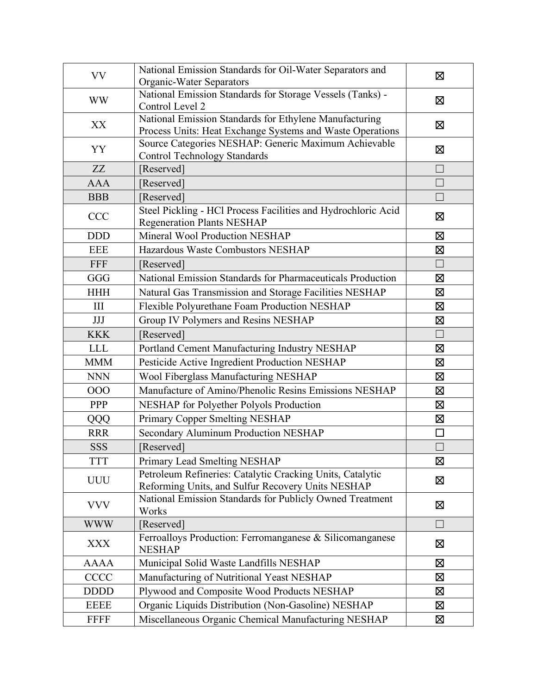| <b>VV</b>   | National Emission Standards for Oil-Water Separators and<br>Organic-Water Separators                                | 区                 |
|-------------|---------------------------------------------------------------------------------------------------------------------|-------------------|
| <b>WW</b>   | National Emission Standards for Storage Vessels (Tanks) -<br>Control Level 2                                        | Ø                 |
| XX          | National Emission Standards for Ethylene Manufacturing<br>Process Units: Heat Exchange Systems and Waste Operations | Χ                 |
| YY          | Source Categories NESHAP: Generic Maximum Achievable<br><b>Control Technology Standards</b>                         | Ø                 |
| ZZ          | [Reserved]                                                                                                          | $\vert \ \ \vert$ |
| <b>AAA</b>  | [Reserved]                                                                                                          | $\Box$            |
| <b>BBB</b>  | [Reserved]                                                                                                          |                   |
| CCC         | Steel Pickling - HCl Process Facilities and Hydrochloric Acid<br><b>Regeneration Plants NESHAP</b>                  | ⊠                 |
| <b>DDD</b>  | Mineral Wool Production NESHAP                                                                                      | 区                 |
| <b>EEE</b>  | Hazardous Waste Combustors NESHAP                                                                                   | Σ                 |
| FFF         | [Reserved]                                                                                                          | $\vert \ \ \vert$ |
| GGG         | National Emission Standards for Pharmaceuticals Production                                                          | Σ                 |
| <b>HHH</b>  | Natural Gas Transmission and Storage Facilities NESHAP                                                              | Ø                 |
| III         | Flexible Polyurethane Foam Production NESHAP                                                                        | 区                 |
| <b>JJJ</b>  | Group IV Polymers and Resins NESHAP                                                                                 | $\boxtimes$       |
| <b>KKK</b>  | [Reserved]                                                                                                          | П                 |
| <b>LLL</b>  | Portland Cement Manufacturing Industry NESHAP                                                                       | 区                 |
| <b>MMM</b>  | Pesticide Active Ingredient Production NESHAP                                                                       | 区                 |
| <b>NNN</b>  | Wool Fiberglass Manufacturing NESHAP                                                                                | Ø                 |
| 000         | Manufacture of Amino/Phenolic Resins Emissions NESHAP                                                               | 区                 |
| <b>PPP</b>  | NESHAP for Polyether Polyols Production                                                                             | ⊠                 |
| QQQ         | Primary Copper Smelting NESHAP                                                                                      | Ø                 |
| <b>RRR</b>  | Secondary Aluminum Production NESHAP                                                                                | П                 |
| <b>SSS</b>  | [Reserved]                                                                                                          |                   |
| <b>TTT</b>  | Primary Lead Smelting NESHAP                                                                                        | $\boxtimes$       |
| <b>UUU</b>  | Petroleum Refineries: Catalytic Cracking Units, Catalytic<br>Reforming Units, and Sulfur Recovery Units NESHAP      | 区                 |
| <b>VVV</b>  | National Emission Standards for Publicly Owned Treatment<br>Works                                                   | 区                 |
| <b>WWW</b>  | [Reserved]                                                                                                          | ГΙ                |
| <b>XXX</b>  | Ferroalloys Production: Ferromanganese & Silicomanganese<br><b>NESHAP</b>                                           | ⊠                 |
| <b>AAAA</b> | Municipal Solid Waste Landfills NESHAP                                                                              | ⊠                 |
| <b>CCCC</b> | Manufacturing of Nutritional Yeast NESHAP                                                                           | Σ                 |
| <b>DDDD</b> | Plywood and Composite Wood Products NESHAP                                                                          | Χ                 |
| <b>EEEE</b> | Organic Liquids Distribution (Non-Gasoline) NESHAP                                                                  | $\boxtimes$       |
| <b>FFFF</b> | Miscellaneous Organic Chemical Manufacturing NESHAP                                                                 | 区                 |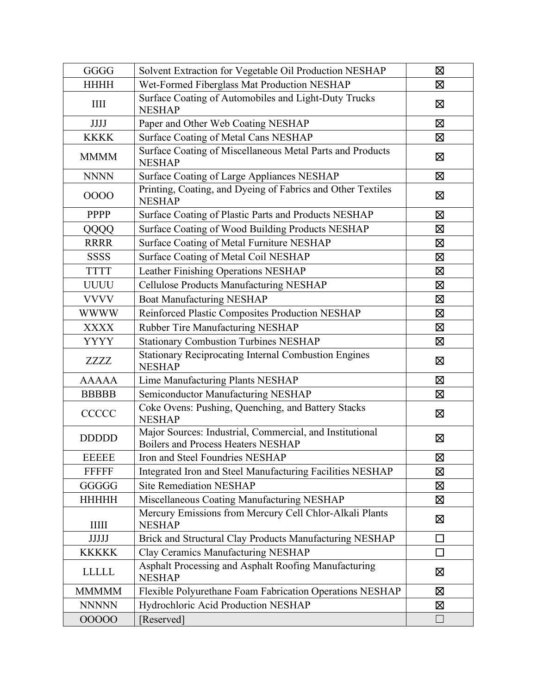| GGGG         | Solvent Extraction for Vegetable Oil Production NESHAP                                         | 区              |
|--------------|------------------------------------------------------------------------------------------------|----------------|
| <b>HHHH</b>  | Wet-Formed Fiberglass Mat Production NESHAP                                                    | Σ              |
| III          | Surface Coating of Automobiles and Light-Duty Trucks<br><b>NESHAP</b>                          | Ø              |
| <b>JJJJ</b>  | Paper and Other Web Coating NESHAP                                                             | Ø              |
| <b>KKKK</b>  | Surface Coating of Metal Cans NESHAP                                                           | $\boxtimes$    |
| <b>MMMM</b>  | Surface Coating of Miscellaneous Metal Parts and Products<br><b>NESHAP</b>                     | $\boxtimes$    |
| <b>NNNN</b>  | Surface Coating of Large Appliances NESHAP                                                     | 区              |
| 0000         | Printing, Coating, and Dyeing of Fabrics and Other Textiles<br><b>NESHAP</b>                   | ⊠              |
| PPPP         | Surface Coating of Plastic Parts and Products NESHAP                                           | X              |
| QQQQ         | Surface Coating of Wood Building Products NESHAP                                               | ⊠              |
| <b>RRRR</b>  | Surface Coating of Metal Furniture NESHAP                                                      | ⊠              |
| <b>SSSS</b>  | Surface Coating of Metal Coil NESHAP                                                           | X              |
| <b>TTTT</b>  | Leather Finishing Operations NESHAP                                                            | Σ              |
| <b>UUUU</b>  | Cellulose Products Manufacturing NESHAP                                                        | Σ              |
| <b>VVVV</b>  | <b>Boat Manufacturing NESHAP</b>                                                               | X              |
| <b>WWWW</b>  | Reinforced Plastic Composites Production NESHAP                                                | Ø              |
| <b>XXXX</b>  | Rubber Tire Manufacturing NESHAP                                                               | $\boxtimes$    |
| <b>YYYY</b>  | <b>Stationary Combustion Turbines NESHAP</b>                                                   | $\boxtimes$    |
| ZZZZ         | <b>Stationary Reciprocating Internal Combustion Engines</b><br><b>NESHAP</b>                   | ⊠              |
| <b>AAAAA</b> | Lime Manufacturing Plants NESHAP                                                               | ⊠              |
| <b>BBBBB</b> | Semiconductor Manufacturing NESHAP                                                             | ⊠              |
| <b>CCCCC</b> | Coke Ovens: Pushing, Quenching, and Battery Stacks<br><b>NESHAP</b>                            | Σ              |
| <b>DDDDD</b> | Major Sources: Industrial, Commercial, and Institutional<br>Boilers and Process Heaters NESHAP | Σ              |
| <b>EEEEE</b> | Iron and Steel Foundries NESHAP                                                                | Ø              |
| <b>FFFFF</b> | Integrated Iron and Steel Manufacturing Facilities NESHAP                                      | 区              |
| GGGGG        | <b>Site Remediation NESHAP</b>                                                                 | $\boxtimes$    |
| <b>HHHHH</b> | Miscellaneous Coating Manufacturing NESHAP                                                     | 区              |
| IIIII        | Mercury Emissions from Mercury Cell Chlor-Alkali Plants<br><b>NESHAP</b>                       | ⊠              |
| <b>JJJJJ</b> | Brick and Structural Clay Products Manufacturing NESHAP                                        | $\mathbb{R}^n$ |
| <b>KKKKK</b> | Clay Ceramics Manufacturing NESHAP                                                             | П              |
| <b>LLLLL</b> | Asphalt Processing and Asphalt Roofing Manufacturing<br><b>NESHAP</b>                          | Σ              |
| <b>MMMMM</b> | Flexible Polyurethane Foam Fabrication Operations NESHAP                                       | Ø              |
| <b>NNNNN</b> | Hydrochloric Acid Production NESHAP                                                            | 区              |
| 00000        | [Reserved]                                                                                     | $\mathbf{L}$   |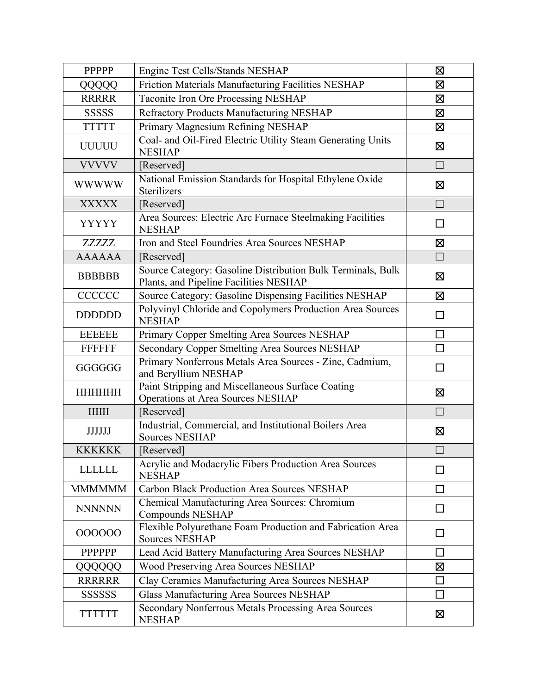| <b>PPPPP</b>   | Engine Test Cells/Stands NESHAP                                                                       | 区                 |
|----------------|-------------------------------------------------------------------------------------------------------|-------------------|
| QQQQQ          | Friction Materials Manufacturing Facilities NESHAP                                                    | ⊠                 |
| <b>RRRRR</b>   | Taconite Iron Ore Processing NESHAP                                                                   | Σ                 |
| <b>SSSSSS</b>  | Refractory Products Manufacturing NESHAP                                                              | Σ                 |
| <b>TTTTTT</b>  | Primary Magnesium Refining NESHAP                                                                     | Ø                 |
| <b>UUUUU</b>   | Coal- and Oil-Fired Electric Utility Steam Generating Units<br><b>NESHAP</b>                          | $\boxtimes$       |
| <b>VVVVV</b>   | [Reserved]                                                                                            | П                 |
| <b>WWWWW</b>   | National Emission Standards for Hospital Ethylene Oxide<br>Sterilizers                                | ⊠                 |
| <b>XXXXX</b>   | [Reserved]                                                                                            | $\vert \ \ \vert$ |
| <b>YYYYY</b>   | Area Sources: Electric Arc Furnace Steelmaking Facilities<br><b>NESHAP</b>                            | $\Box$            |
| <b>ZZZZZZ</b>  | Iron and Steel Foundries Area Sources NESHAP                                                          | Σ                 |
| <b>AAAAAA</b>  | [Reserved]                                                                                            | $\Box$            |
| <b>BBBBBB</b>  | Source Category: Gasoline Distribution Bulk Terminals, Bulk<br>Plants, and Pipeline Facilities NESHAP | 区                 |
| <b>CCCCCC</b>  | Source Category: Gasoline Dispensing Facilities NESHAP                                                | $\boxtimes$       |
| <b>DDDDDD</b>  | Polyvinyl Chloride and Copolymers Production Area Sources<br><b>NESHAP</b>                            | П                 |
| <b>EEEEEE</b>  | Primary Copper Smelting Area Sources NESHAP                                                           | $\Box$            |
| <b>FFFFFFF</b> | Secondary Copper Smelting Area Sources NESHAP                                                         | П                 |
| GGGGGG         | Primary Nonferrous Metals Area Sources - Zinc, Cadmium,<br>and Beryllium NESHAP                       | П                 |
| <b>HHHHHHH</b> | Paint Stripping and Miscellaneous Surface Coating<br>Operations at Area Sources NESHAP                | ⊠                 |
| $\frac{1}{2}$  | [Reserved]                                                                                            | $\vert \ \ \vert$ |
| <b>JJJJJJ</b>  | Industrial, Commercial, and Institutional Boilers Area<br><b>Sources NESHAP</b>                       | Ø                 |
| <b>KKKKKK</b>  | [Reserved]                                                                                            | $\Box$            |
| <b>LLLLLL</b>  | Acrylic and Modacrylic Fibers Production Area Sources<br><b>NESHAP</b>                                |                   |
| <b>MMMMMM</b>  | Carbon Black Production Area Sources NESHAP                                                           |                   |
| <b>NNNNNN</b>  | Chemical Manufacturing Area Sources: Chromium<br>Compounds NESHAP                                     | ΙI                |
| 000000         | Flexible Polyurethane Foam Production and Fabrication Area<br><b>Sources NESHAP</b>                   | $\Box$            |
| PPPPPP         | Lead Acid Battery Manufacturing Area Sources NESHAP                                                   |                   |
| QQQQQQ         | Wood Preserving Area Sources NESHAP                                                                   | Σ                 |
| <b>RRRRRR</b>  | Clay Ceramics Manufacturing Area Sources NESHAP                                                       | П                 |
| <b>SSSSSSS</b> | Glass Manufacturing Area Sources NESHAP                                                               |                   |
| <b>TTTTTTT</b> | Secondary Nonferrous Metals Processing Area Sources<br><b>NESHAP</b>                                  | Σ                 |